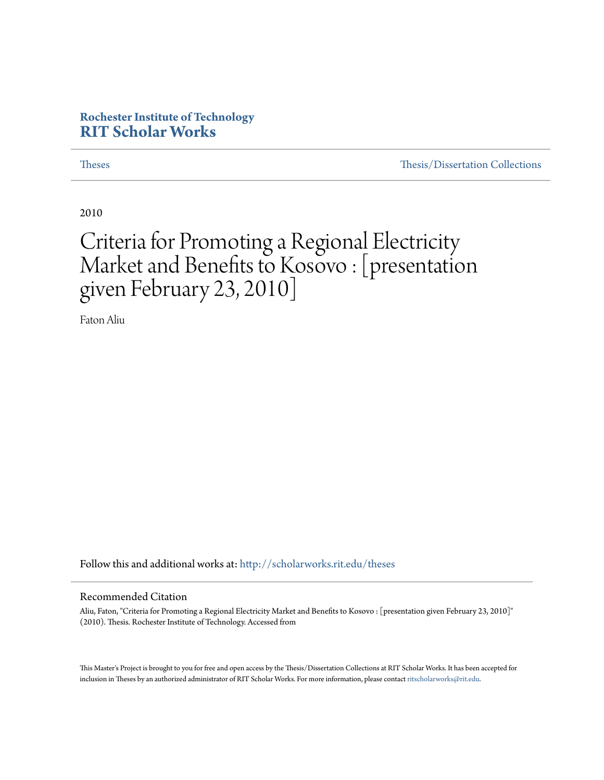#### **Rochester Institute of Technology [RIT Scholar Works](http://scholarworks.rit.edu?utm_source=scholarworks.rit.edu%2Ftheses%2F6978&utm_medium=PDF&utm_campaign=PDFCoverPages)**

[Theses](http://scholarworks.rit.edu/theses?utm_source=scholarworks.rit.edu%2Ftheses%2F6978&utm_medium=PDF&utm_campaign=PDFCoverPages) [Thesis/Dissertation Collections](http://scholarworks.rit.edu/etd_collections?utm_source=scholarworks.rit.edu%2Ftheses%2F6978&utm_medium=PDF&utm_campaign=PDFCoverPages)

2010

#### Criteria for Promoting a Regional Electricity Market and Benefits to Kosovo : [presentation given February 23, 2010]

Faton Aliu

Follow this and additional works at: [http://scholarworks.rit.edu/theses](http://scholarworks.rit.edu/theses?utm_source=scholarworks.rit.edu%2Ftheses%2F6978&utm_medium=PDF&utm_campaign=PDFCoverPages)

#### Recommended Citation

Aliu, Faton, "Criteria for Promoting a Regional Electricity Market and Benefits to Kosovo : [presentation given February 23, 2010]" (2010). Thesis. Rochester Institute of Technology. Accessed from

This Master's Project is brought to you for free and open access by the Thesis/Dissertation Collections at RIT Scholar Works. It has been accepted for inclusion in Theses by an authorized administrator of RIT Scholar Works. For more information, please contact [ritscholarworks@rit.edu](mailto:ritscholarworks@rit.edu).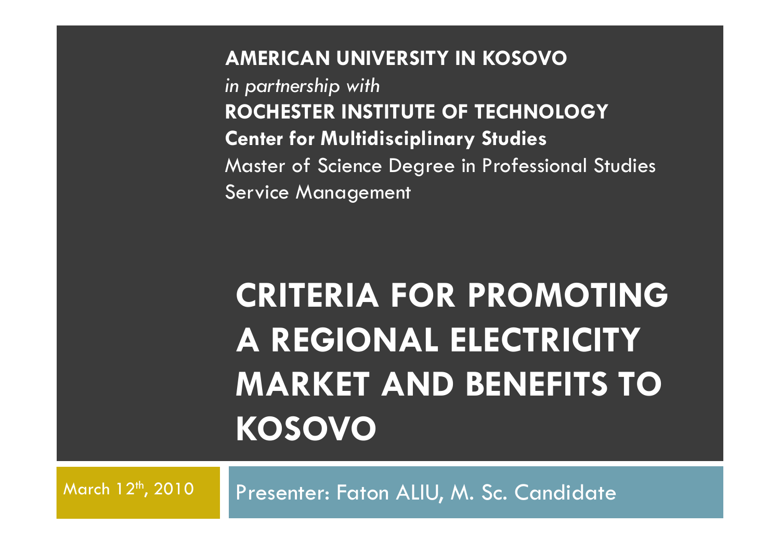**AMERICAN UNIVERSITY IN KOSOVO***in partnership with* **ROCHESTER INSTITUTE OF TECHNOLOGY Center for Multidisciplinary Studies** Master of Science Degree in Professional StudiesService Management

## **CRITERIA FOR PROMOTING A REGIONAL ELECTRICITY MARKET AND BENEFITS TO KOSOVO**

March 12<sup>th</sup>, 2010

Presenter: Faton ALIU, M. Sc. Candidate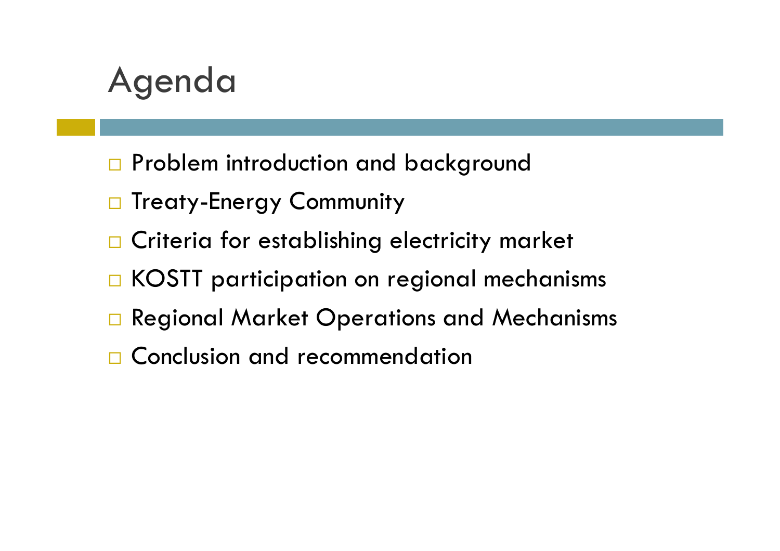#### Agenda

- $\square$  Problem introduction and background
- $\Box$  Treaty-Energy Community
- $\Box$  Criteria for establishing electricity market
- $\Box$  KOSTT participation on regional mechanisms
- $\square$  Regional Market Operations and Mechanisms
- □ Conclusion and recommendation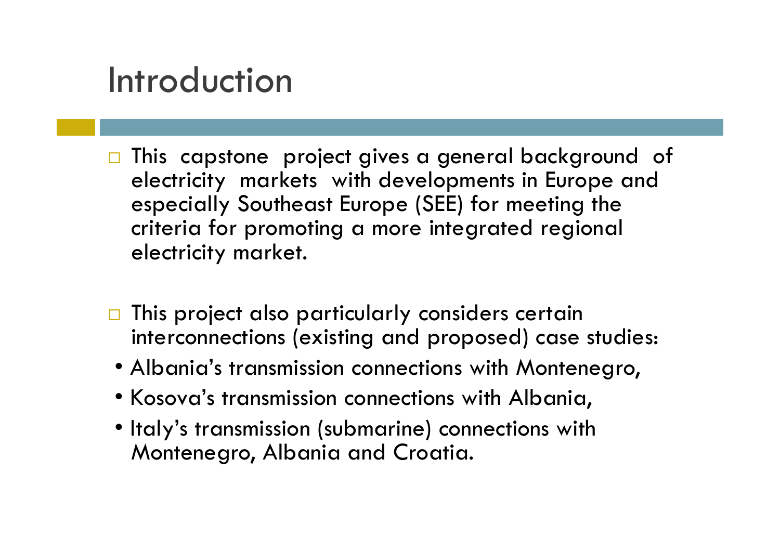#### Introduction

- □ This capstone project gives a general background of electricity markets with developments in Europe and especially Southeast Europe (SEE) for meeting the criteria for promoting a more integrated regional electricity market.
- $\Box$  This project also particularly considers certain interconnections (existing and proposed) case studies:
- Albania's transmission connections with Montenegro,
- Kosova's transmission connections with Albania,
- Italy's transmission (submarine) connections with Montenegro, Albania and Croatia.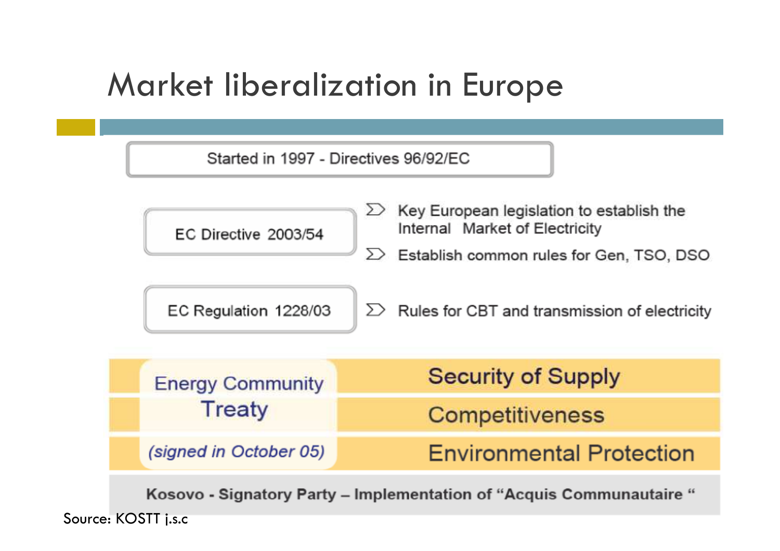#### Market liberalization in Europe



Kosovo - Signatory Party – Implementation of "Acquis Communautaire "

Source: KOSTT j.s.c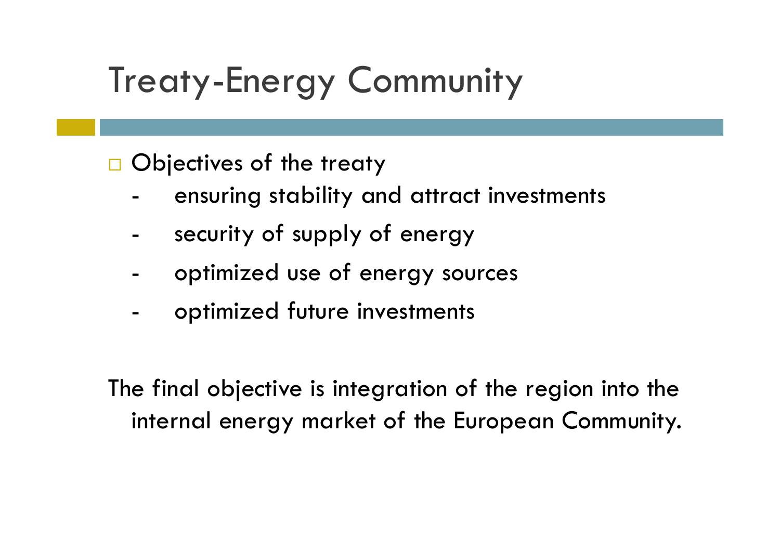## Treaty-Energy Community

 $\Box$  Objectives of the treaty

- ensuring stability and attract investments
- security of supply of energy
- optimized use of energy sources
- optimized future investments

The final objective is integration of the region into the internal energy market of the European Community.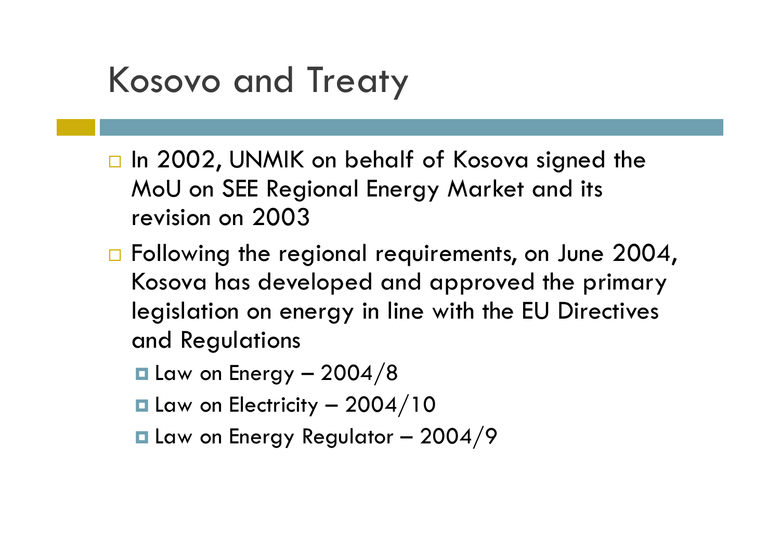### Kosovo and Treaty

- □ In 2002, UNMIK on behalf of Kosova signed the MoU on SEE Regional Energy Market and its revision on 2003
- $\Box$  Following the regional requirements, on June 2004, Kosova has developed and approved the primary legislation on energy in line with the EU Directives and Regulations
	- $\blacksquare$  Law on Energy 2004/8
	- $\blacksquare$  Law on Electricity 2004/10
	- $\blacksquare$  Law on Energy Regulator 2004/9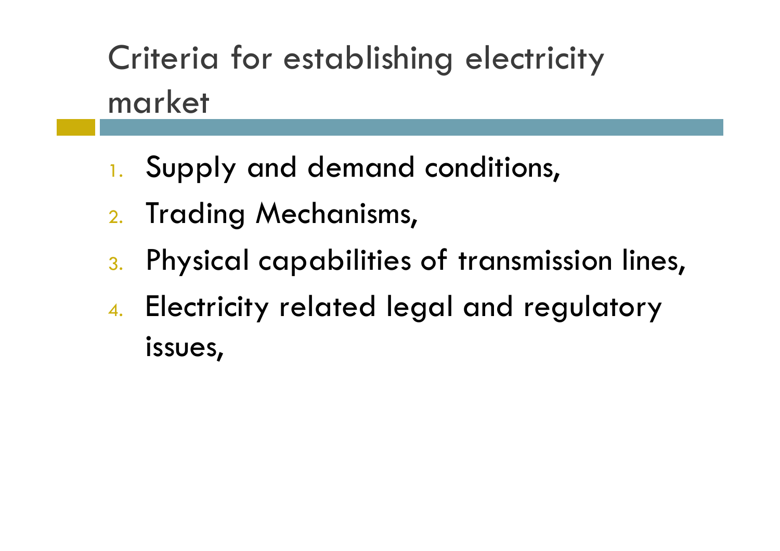Criteria for establishing electricity market

- 1. Supply and demand conditions,
- 2. Trading Mechanisms,
- $\,$  . Physical capabilities of transmission lines,
- 4. Electricity related legal and regulatory issues,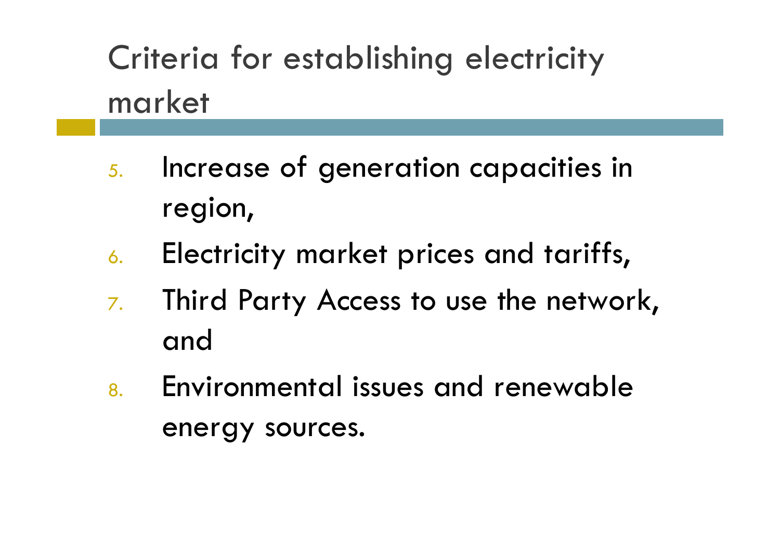Criteria for establishing electricity market

- 5. Increase of generation capacities in region,
- 6.Electricity market prices and tariffs,
- 7. Third Party Access to use the network, and
- 8. Environmental issues and renewable energy sources.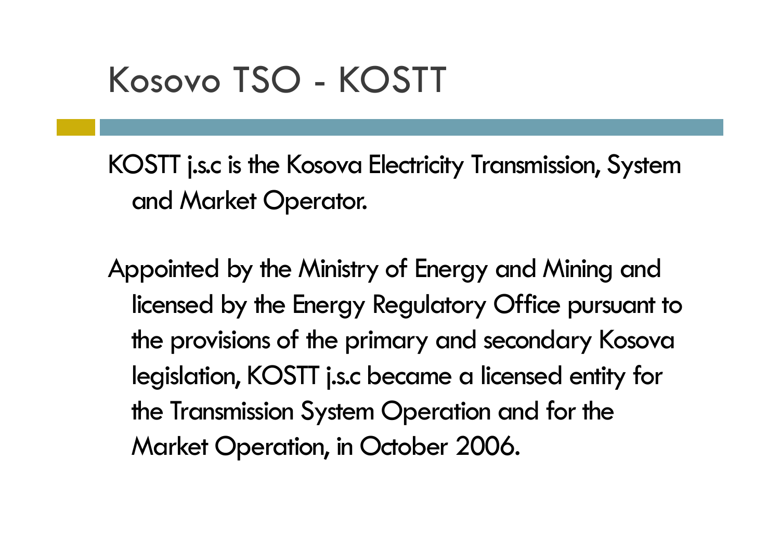### Kosovo TSO - KOSTT

KOSTT j.s.c is the Kosova Electricity Transmission, System and Market Operator.

Appointed by the Ministry of Energy and Mining and licensed by the Energy Regulatory Office pursuant to the provisions of the primary and secondary Kosova legislation, KOSTT j.s.c became a licensed entity for the Transmission System Operation and for the Market Operation, in October 2006.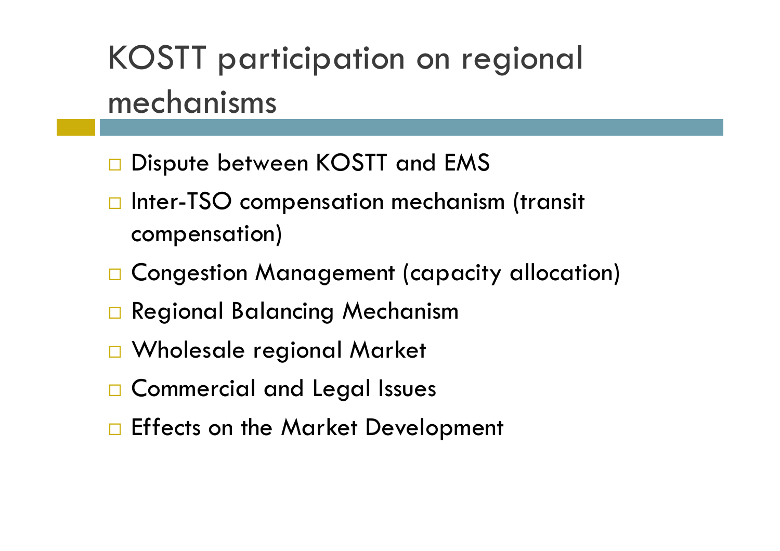## KOSTT participation on regional mechanisms

- $\square$  Dispute between KOSTT and EMS
- $\Box$  Inter-TSO compensation mechanism (transit compensation)
- $\square$  Congestion Management (capacity allocation)
- □ Regional Balancing Mechanism
- Wholesale regional Market
- $\square$  Commercial and Legal Issues
- $\square$  Effects on the Market Development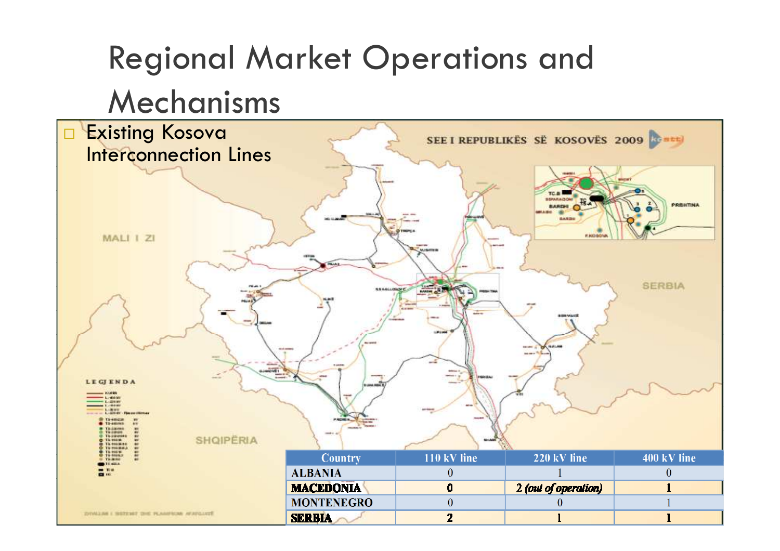#### Regional Market Operations and Mechanisms Existing Kosova  $\Box$ SEE I REPUBLIKËS SË KOSOVËS 2009 Interconnection Lines PRENTINA MALI I ZI **SERBIA LEGIENDA** KURR  $-1.40000$ Lignin **LABINE** To emission TO-ANNIE Th-230000 **SHOIPERIA** The more To miding Country 110 kV line 220 kV line 400 kV line **ALBANIA**  $\theta$  $\theta$ **MACEDONIA** 2 (out of operation)  $\mathbf{0}$  $\mathbf{I}$ **MONTENEGRO**  $\theta$  $\mathbf{1}$  $\theta$ **ZIONALINE I SERVINER DIE PLANERUM AFAILINTÉ SERBIA**  $2<sup>1</sup>$  $\mathbf{1}$  $\mathbf{1}$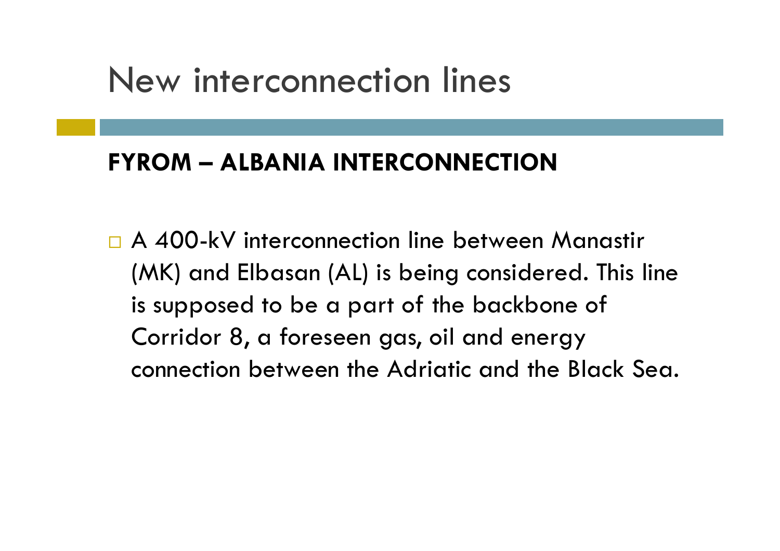#### **FYROM – ALBANIA INTERCONNECTION**

□ A 400-kV interconnection line between Manastir (MK) and Elbasan (AL) is being considered. This line is supposed to be a part of the backbone of Corridor 8, a foreseen gas, oil and energy connection between the Adriatic and the Black Sea.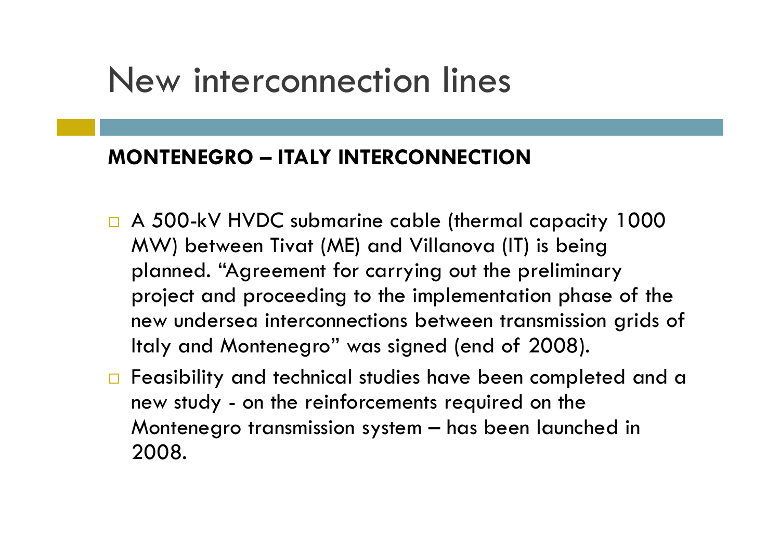#### **MONTENEGRO – ITALY INTERCONNECTION**

- A 500-kV HVDC submarine cable (thermal capacity 1000 MW) between Tivat (ME) and Villanova (IT) is being planned. "Agreement for carrying out the preliminary project and proceeding to the implementation phase of the new undersea interconnections between transmission grids of Italy and Montenegro" was signed (end of 2008).
- $\Box$  Feasibility and technical studies have been completed and a new study - on the reinforcements required on the Montenegro transmission system – has been launched in 2008.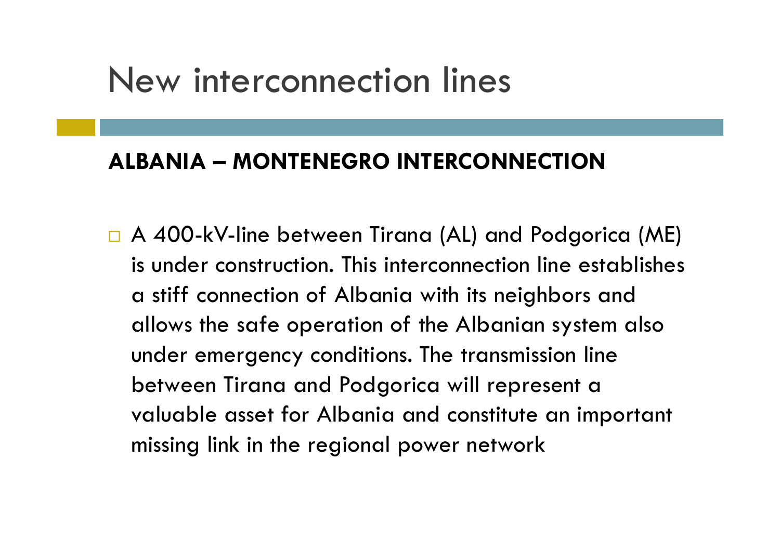#### **ALBANIA – MONTENEGRO INTERCONNECTION**

 A 400-kV-line between Tirana (AL) and Podgorica (ME) is under construction. This interconnection line establishes a stiff connection of Albania with its neighbors and allows the safe operation of the Albanian system also under emergency conditions. The transmission line between Tirana and Podgorica will represent a valuable asset for Albania and constitute an important missing link in the regional power network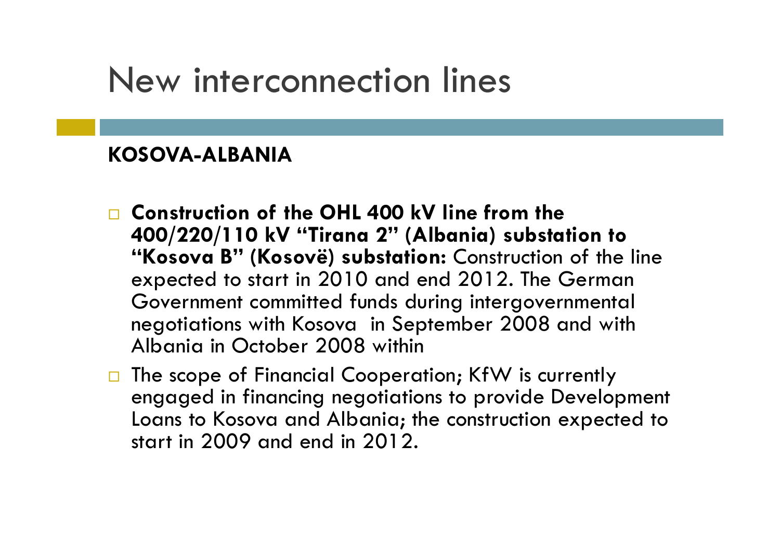#### **KOSOVA-ALBANIA**

- **Construction of the OHL 400 kV line from the 400/220/110 kV "Tirana 2" (Albania) substation to "Kosova B" (Kosovë) substation:** Construction of the line expected to start in 2010 and end 2012. The German Government committed funds during intergovernmental negotiations with Kosova in September 2008 and with Albania in October 2008 within
- □ The scope of Financial Cooperation; KfW is currently engaged in financing negotiations to provide Development Loans to Kosova and Albania; the construction expected to start in 2009 and end in 2012.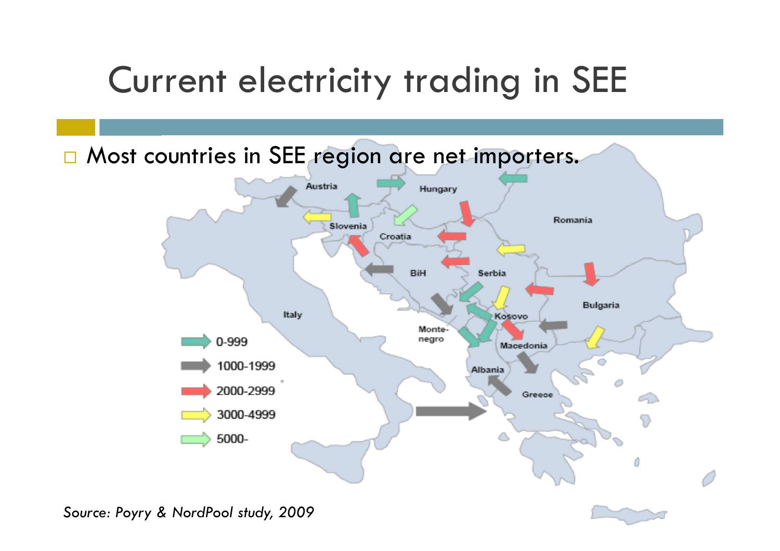## Current electricity trading in SEE

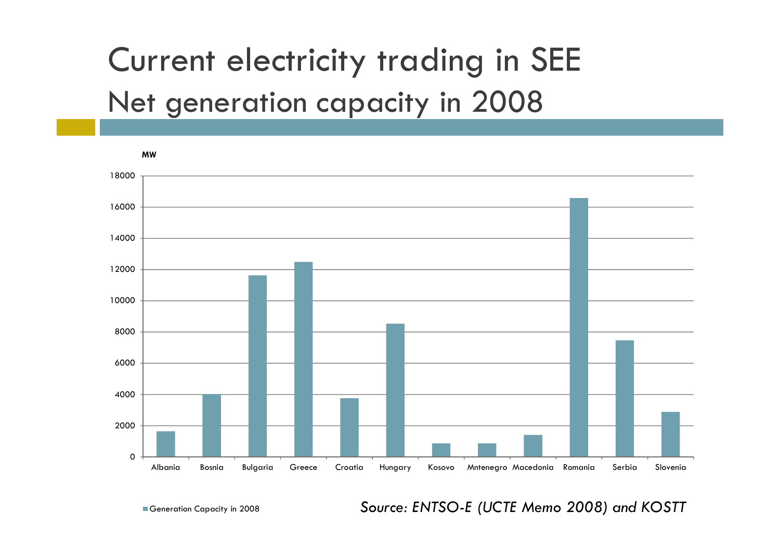### Current electricity trading in SEENet generation capacity in 2008



Generation Capacity in 2008

*Source: ENTSO-E (UCTE Memo 2008) and KOSTT*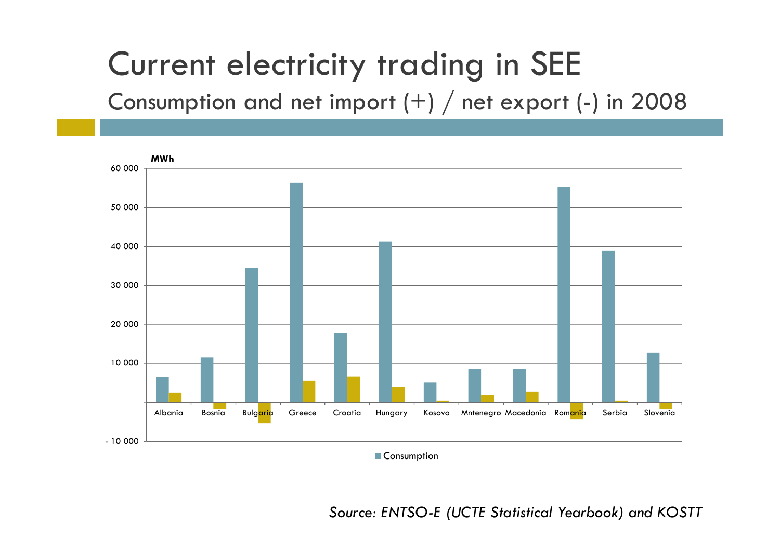#### Current electricity trading in SEE

Consumption and net import (+)  $/$  net export (-) in 2008  $\,$ 



*Source: ENTSO-E (UCTE Statistical Yearbook) and KOSTT*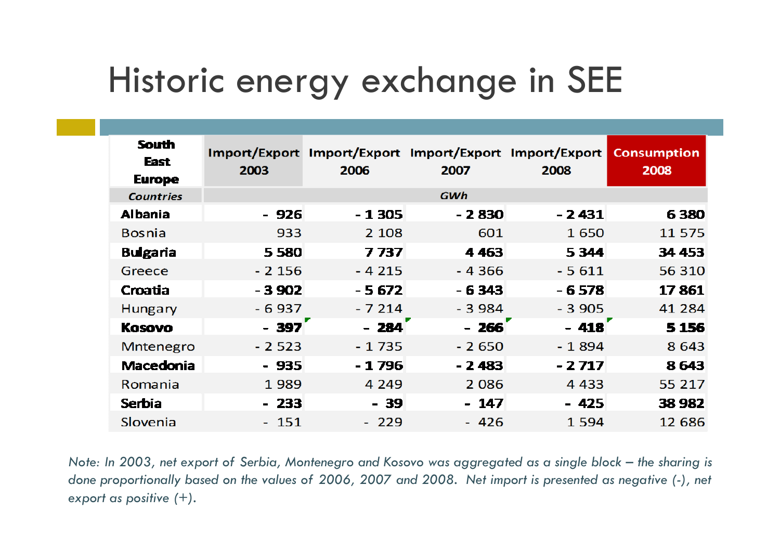## Historic energy exchange in SEE

| <b>South</b><br><b>East</b><br><b>Europe</b> | 2003    | Import/Export Import/Export Import/Export Import/Export<br>2006 | 2007    | 2008    | <b>Consumption</b><br>2008 |
|----------------------------------------------|---------|-----------------------------------------------------------------|---------|---------|----------------------------|
| <b>Countries</b>                             |         |                                                                 | GWh     |         |                            |
| <b>Albania</b>                               | - 926   | $-1305$                                                         | - 2 830 | $-2431$ | 6380                       |
| <b>Bosnia</b>                                | 933     | 2 1 0 8                                                         | 601     | 1 650   | 11 575                     |
| <b>Bulgaria</b>                              | 5 5 8 0 | 7737                                                            | 4 4 6 3 | 5 3 4 4 | 34 453                     |
| Greece                                       | $-2156$ | $-4215$                                                         | $-4366$ | $-5611$ | 56 310                     |
| Croatia                                      | $-3902$ | $-5672$                                                         | $-6343$ | $-6578$ | 17861                      |
| Hungary                                      | $-6937$ | $-7214$                                                         | $-3984$ | $-3905$ | 41 284                     |
| <b>Kosovo</b>                                | $-397$  | $-284$                                                          | $-266$  | $-418$  | 5 1 5 6                    |
| Mntenegro                                    | $-2523$ | $-1735$                                                         | $-2650$ | $-1894$ | 8 6 4 3                    |
| <b>Macedonia</b>                             | $-935$  | $-1796$                                                         | $-2483$ | $-2717$ | 8643                       |
| Romania                                      | 1989    | 4 2 4 9                                                         | 2 0 8 6 | 4 4 3 3 | 55 217                     |
| <b>Serbia</b>                                | $-233$  | - 39                                                            | $-147$  | $-425$  | 38 982                     |
| Slovenia                                     | - 151   | $-229$                                                          | $-426$  | 1 5 9 4 | 12 686                     |

*Note: In 2003, net export of Serbia, Montenegro and Kosovo was aggregated as a single block – the sharing is done proportionally based on the values of 2006, 2007 and 2008. Net import is presented as negative (-), net export as positive (+).*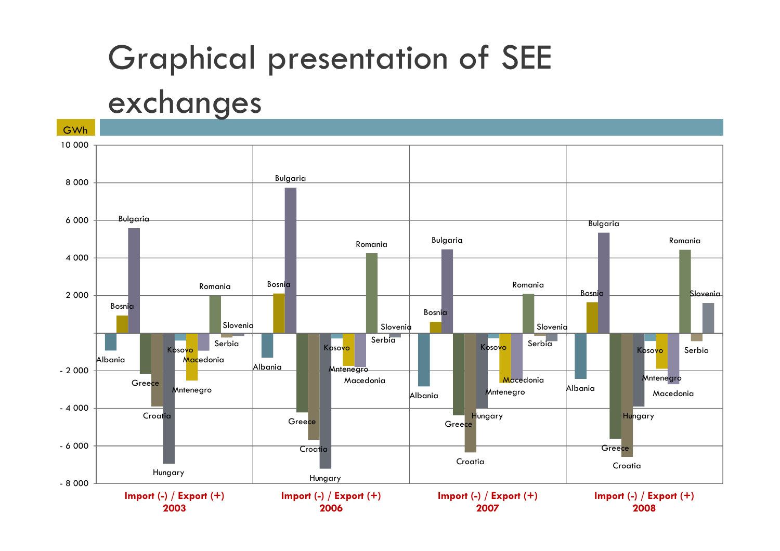#### Graphical presentation of SEE

#### exchanges

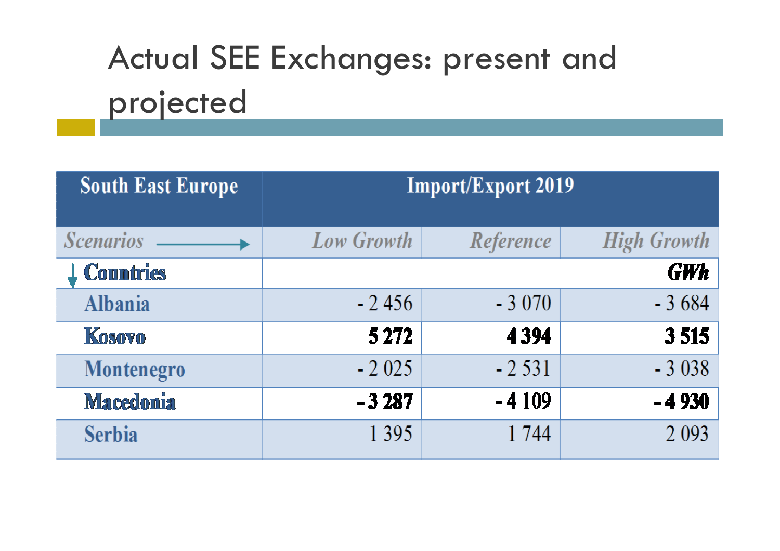## Actual SEE Exchanges: present and projected

| <b>South East Europe</b> | <b>Import/Export 2019</b> |           |                    |  |  |
|--------------------------|---------------------------|-----------|--------------------|--|--|
|                          |                           |           |                    |  |  |
| <b>Scenarios</b>         | <b>Low Growth</b>         | Reference | <b>High Growth</b> |  |  |
| <b>Countries</b>         |                           |           | <b>GWh</b>         |  |  |
| <b>Albania</b>           | $-2456$                   | $-3070$   | $-3684$            |  |  |
| <b>Kosovo</b>            | 5 2 7 2                   | 4 3 9 4   | 3515               |  |  |
| Montenegro               | $-2025$                   | $-2531$   | $-3038$            |  |  |
| <b>Macedonia</b>         | $-3287$                   | $-4109$   | $-4930$            |  |  |
| <b>Serbia</b>            | 1 3 9 5                   | 1744      | 2 0 9 3            |  |  |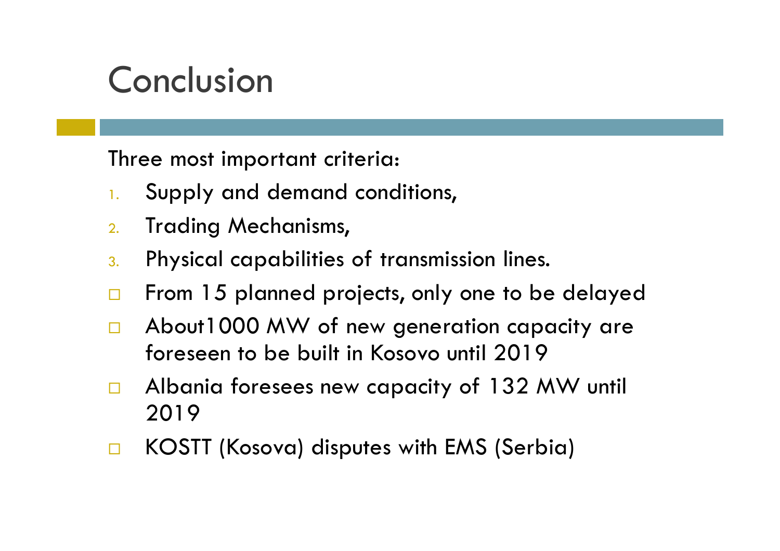### Conclusion

Three most important criteria:

- 1.Supply and demand conditions,
- $2.$ Trading Mechanisms,
- 3.Physical capabilities of transmission lines.
- $\Box$ From 15 planned projects, only one to be delayed
- $\Box$  About1000 MW of new generation capacity are foreseen to be built in Kosovo until 2019
- $\Box$  Albania foresees new capacity of 132 MW until 2019
- $\Box$ KOSTT (Kosova) disputes with EMS (Serbia)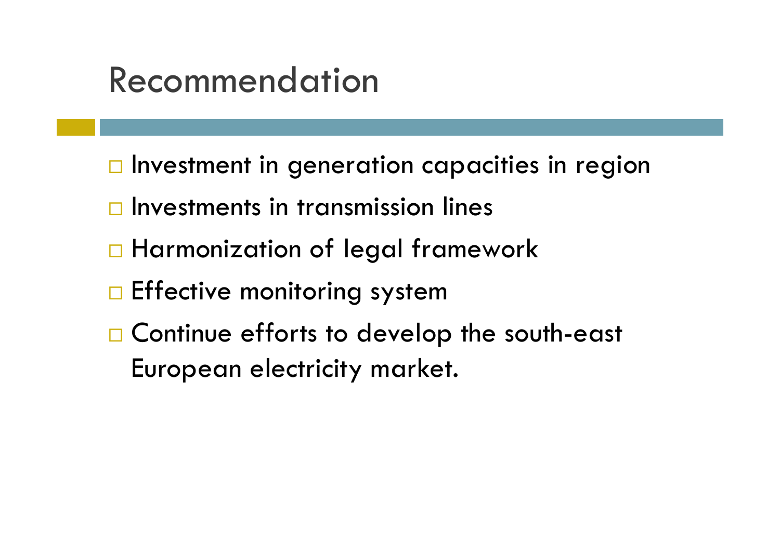#### Recommendation

- $\Box$  Investment in generation capacities in region
- $\Box$  Investments in transmission lines
- □ Harmonization of legal framework
- $\square$  Effective monitoring system
- □ Continue efforts to develop the south-east European electricity market.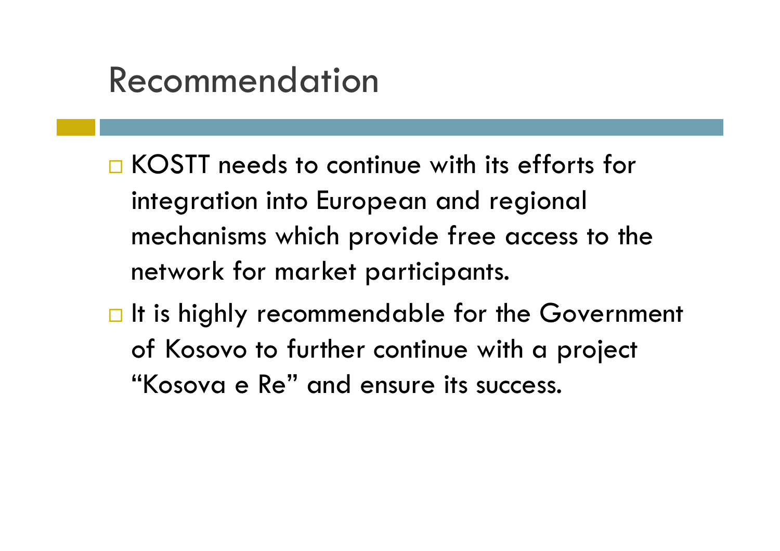#### Recommendation

- □ KOSTT needs to continue with its efforts for integration into European and regional mechanisms which provide free access to the network for market participants.
- $\Box$  It is highly recommendable for the Government of Kosovo to further continue with a project "Kosova e Re" and ensure its success.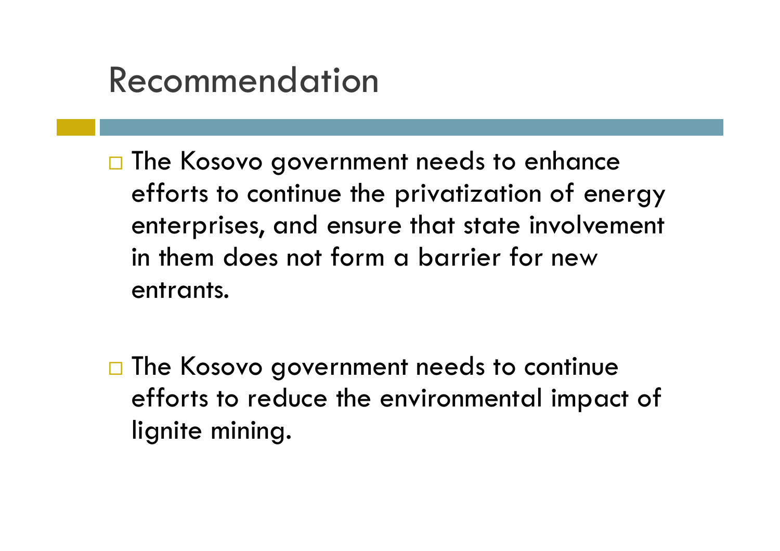#### Recommendation

- **The Kosovo government needs to enhance** efforts to continue the privatization of energy enterprises, and ensure that state involvement in them does not form a barrier for new entrants.
- □ The Kosovo government needs to continue efforts to reduce the environmental impact of lignite mining.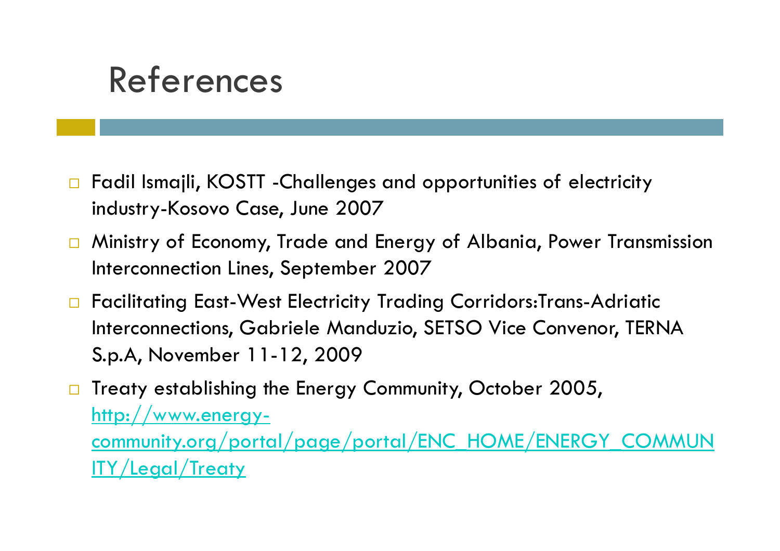#### References

- $\Box$  Fadil Ismajli, KOSTT -Challenges and opportunities of electricity industry-Kosovo Case, June 2007
- $\Box$  Ministry of Economy, Trade and Energy of Albania, Power Transmission Interconnection Lines, September 2007
- □ Facilitating East-West Electricity Trading Corridors:Trans-Adriatic Interconnections, Gabriele Manduzio, SETSO Vice Convenor, TERNA S.p.A, November 11-12, 2009
- $\Box$  Treaty establishing the Energy Community, October 2005, http://www.energycommunity.org/portal/page/portal/ENC\_HOME/ENERGY\_COMMUNITY/Legal/Treaty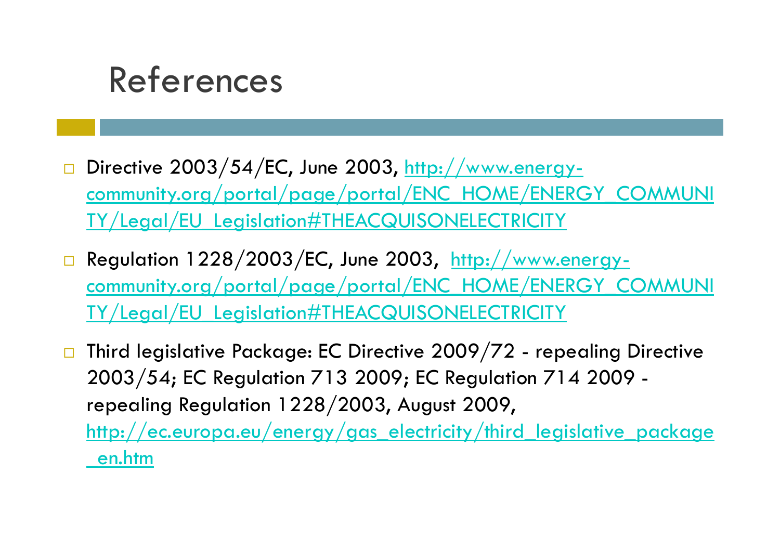#### References

- $\Box$ Directive 2003/54/EC, June 2003, http://www.energycommunity.org/portal/page/portal/ENC\_HOME/ENERGY\_COMMUNI TY/Legal/EU\_Legislation#THEACQUISONELECTRICITY
- $\square$  Regulation 1228/2003/EC, June 2003,  $\underline{\small \textsf{http://www.energy-}}$ community.org/portal/page/portal/ENC\_HOME/ENERGY\_COMMUNI TY/Legal/EU\_Legislation#THEACQUISONELECTRICITY
- $\Box$  Third legislative Package: EC Directive 2009/72 - repealing Directive 2003/54; EC Regulation 713 2009; EC Regulation 714 2009 repealing Regulation 1228/2003, August 2009, http://ec.europa.eu/energy/gas\_electricity/third\_legislative\_package \_en.htm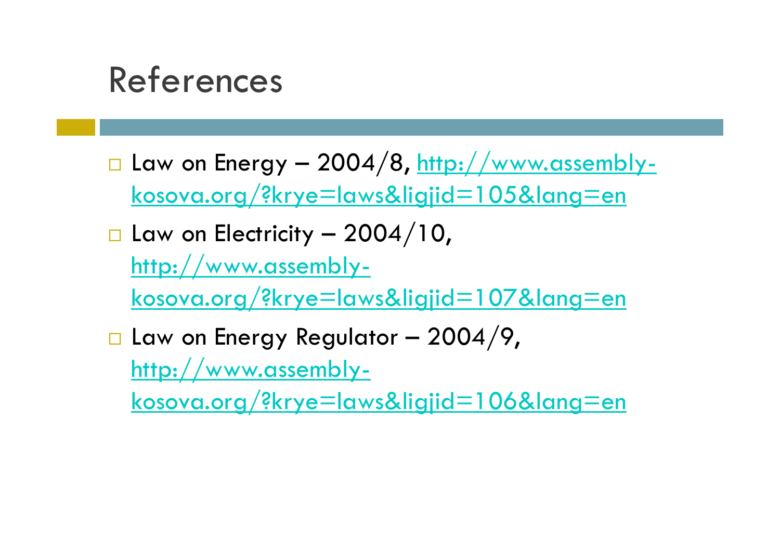#### References

- $\Box$ □ Law on Energy – 2004/8, <u>http://www.assembly-</u> kosova.org/?krye=laws&ligjid=105&lang=en
- $\Box$  $\square$  Law on Electricity – 2004/10, http://www.assemblykosova.org/?krye=laws&ligjid=107&lang=en
- $\Box$  $\square$  Law on Energy Regulator – 2004/9, http://www.assembly-

kosova.org/?krye=laws&ligjid=106&lang=en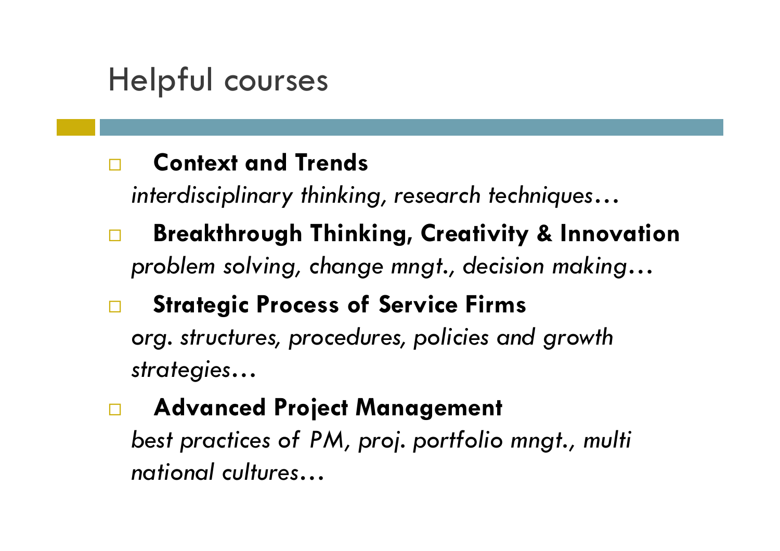#### Helpful courses

#### $\Box$ **Context and Trends**

*interdisciplinary thinking, research techniques…*

 **Breakthrough Thinking, Creativity & Innovation**  $\Box$ *problem solving, change mngt., decision making…*

#### $\Box$ **Strategic Process of Service Firms**

*org. structures, procedures, policies and growth strategies…*

#### **Advanced Project Management**   $\Box$

*best practices of PM, proj. portfolio mngt., multi national cultures…*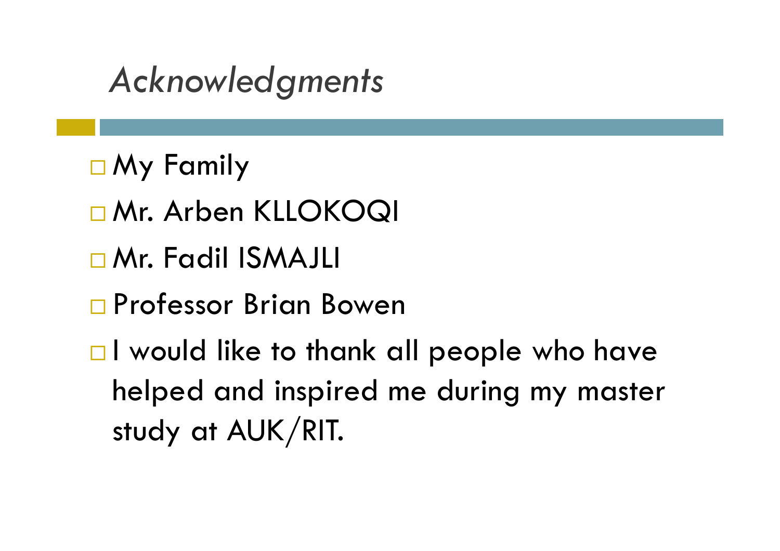### *Acknowledgments*

- My Family
- □ Mr. Arben KLLOKOQI
- □Mr. Fadil ISMAJLI
- □ Professor Brian Bowen
- $\Box$  I would like to thank all people who have helped and inspired me during my master study at AUK/RIT.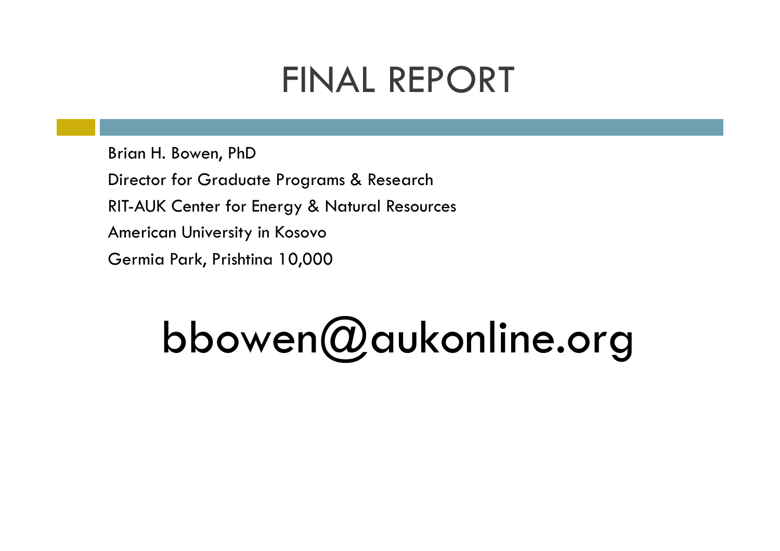### FINAL REPORT

Brian H. Bowen, PhD Director for Graduate Programs & Research RIT-AUK Center for Energy & Natural Resources American University in Kosovo Germia Park, Prishtina 10,000

# bbowen@aukonline.org